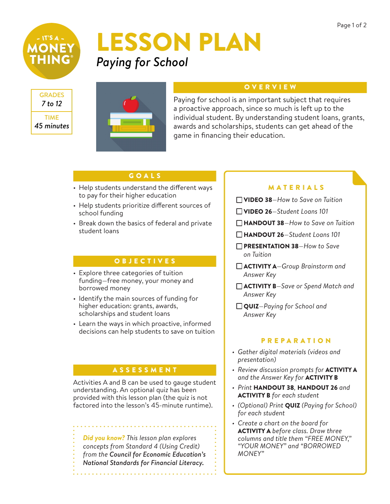

## LESSON PLAN *Paying for School*





#### **OVERVIEW**

Paying for school is an important subject that requires a proactive approach, since so much is left up to the individual student. By understanding student loans, grants, awards and scholarships, students can get ahead of the game in financing their education.

#### GOALS

- Help students understand the different ways to pay for their higher education
- Help students prioritize different sources of school funding
- Break down the basics of federal and private student loans

#### OBJECTIVES

- Explore three categories of tuition funding—free money, your money and borrowed money
- Identify the main sources of funding for higher education: grants, awards, scholarships and student loans
- Learn the ways in which proactive, informed decisions can help students to save on tuition

#### ASSESSMENT

Activities A and B can be used to gauge student understanding. An optional quiz has been provided with this lesson plan (the quiz is not factored into the lesson's 45-minute runtime).

*Did you know? This lesson plan explores concepts from Standard 4 (Using Credit) from the Council for Economic Education's National Standards for Financial Literacy.*

#### MATERIALS

- VIDEO 38*—How to Save on Tuition*
- VIDEO 26*—Student Loans 101*
- HANDOUT 38*—How to Save on Tuition*
- HANDOUT 26*—Student Loans 101*
- PRESENTATION 38*—How to Save on Tuition*
- ACTIVITY A*—Group Brainstorm and Answer Key*
- ACTIVITY B*—Save or Spend Match and Answer Key*
- QUIZ*—Paying for School and Answer Key*

#### **PREPARATION**

- *• Gather digital materials (videos and presentation)*
- *• Review discussion prompts for* ACTIVITY A *and the Answer Key for* ACTIVITY B
- *• Print* HANDOUT 38*,* HANDOUT 26 *and*  ACTIVITY B *for each student*
- *• (Optional) Print* QUIZ *(Paying for School) for each student*
- *• Create a chart on the board for*  ACTIVITY A *before class. Draw three columns and title them "FREE MONEY," "YOUR MONEY" and "BORROWED MONEY"*